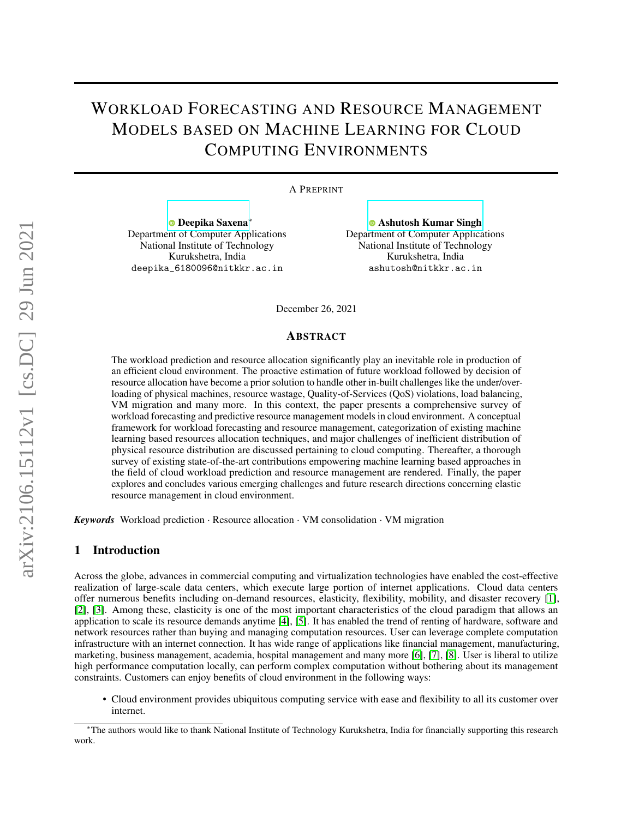# WORKLOAD FORECASTING AND RESOURCE MANAGEMENT MODELS BASED ON MACHINE LEARNING FOR CLOUD COMPUTING ENVIRONMENTS

#### A PREPRINT

[Deepika Saxena](https://orcid.org/0000-0002-9689-6387)<sup>∗</sup> Department of Computer Applications National Institute of Technology Kurukshetra, India deepika\_6180096@nitkkr.ac.in

[Ashutosh Kumar Singh](https://orcid.org/0000-0002-8053-5050) Department of Computer Applications National Institute of Technology Kurukshetra, India ashutosh@nitkkr.ac.in

December 26, 2021

#### ABSTRACT

The workload prediction and resource allocation significantly play an inevitable role in production of an efficient cloud environment. The proactive estimation of future workload followed by decision of resource allocation have become a prior solution to handle other in-built challenges like the under/overloading of physical machines, resource wastage, Quality-of-Services (QoS) violations, load balancing, VM migration and many more. In this context, the paper presents a comprehensive survey of workload forecasting and predictive resource management models in cloud environment. A conceptual framework for workload forecasting and resource management, categorization of existing machine learning based resources allocation techniques, and major challenges of inefficient distribution of physical resource distribution are discussed pertaining to cloud computing. Thereafter, a thorough survey of existing state-of-the-art contributions empowering machine learning based approaches in the field of cloud workload prediction and resource management are rendered. Finally, the paper explores and concludes various emerging challenges and future research directions concerning elastic resource management in cloud environment.

*Keywords* Workload prediction · Resource allocation · VM consolidation · VM migration

## 1 Introduction

Across the globe, advances in commercial computing and virtualization technologies have enabled the cost-effective realization of large-scale data centers, which execute large portion of internet applications. Cloud data centers offer numerous benefits including on-demand resources, elasticity, flexibility, mobility, and disaster recovery [\[1\]](#page-13-0), [\[2\]](#page-13-1), [\[3\]](#page-14-0). Among these, elasticity is one of the most important characteristics of the cloud paradigm that allows an application to scale its resource demands anytime [\[4\]](#page-14-1), [\[5\]](#page-14-2). It has enabled the trend of renting of hardware, software and network resources rather than buying and managing computation resources. User can leverage complete computation infrastructure with an internet connection. It has wide range of applications like financial management, manufacturing, marketing, business management, academia, hospital management and many more [\[6\]](#page-14-3), [\[7\]](#page-14-4), [\[8\]](#page-14-5). User is liberal to utilize high performance computation locally, can perform complex computation without bothering about its management constraints. Customers can enjoy benefits of cloud environment in the following ways:

• Cloud environment provides ubiquitous computing service with ease and flexibility to all its customer over internet.

<sup>∗</sup>The authors would like to thank National Institute of Technology Kurukshetra, India for financially supporting this research work.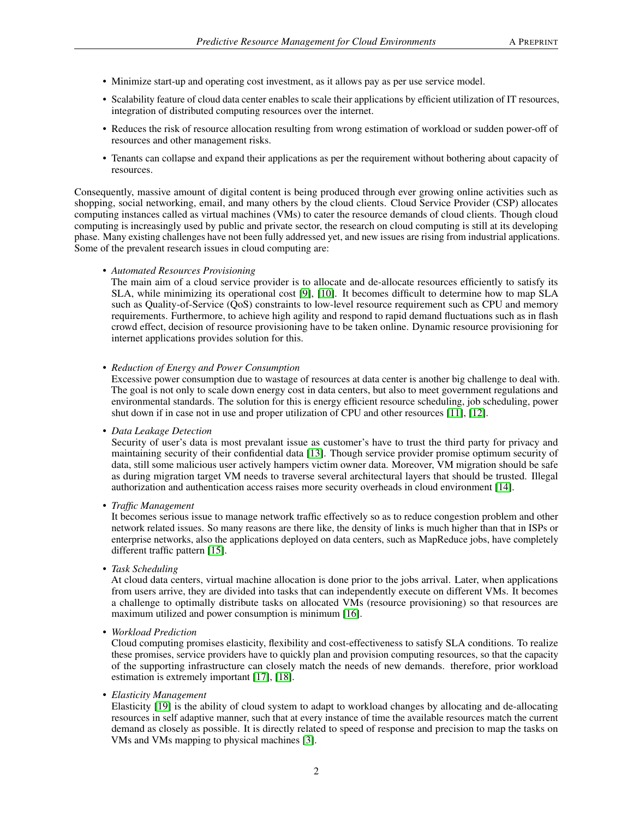- Minimize start-up and operating cost investment, as it allows pay as per use service model.
- Scalability feature of cloud data center enables to scale their applications by efficient utilization of IT resources, integration of distributed computing resources over the internet.
- Reduces the risk of resource allocation resulting from wrong estimation of workload or sudden power-off of resources and other management risks.
- Tenants can collapse and expand their applications as per the requirement without bothering about capacity of resources.

Consequently, massive amount of digital content is being produced through ever growing online activities such as shopping, social networking, email, and many others by the cloud clients. Cloud Service Provider (CSP) allocates computing instances called as virtual machines (VMs) to cater the resource demands of cloud clients. Though cloud computing is increasingly used by public and private sector, the research on cloud computing is still at its developing phase. Many existing challenges have not been fully addressed yet, and new issues are rising from industrial applications. Some of the prevalent research issues in cloud computing are:

• *Automated Resources Provisioning*

The main aim of a cloud service provider is to allocate and de-allocate resources efficiently to satisfy its SLA, while minimizing its operational cost [\[9\]](#page-14-6), [\[10\]](#page-14-7). It becomes difficult to determine how to map SLA such as Quality-of-Service (QoS) constraints to low-level resource requirement such as CPU and memory requirements. Furthermore, to achieve high agility and respond to rapid demand fluctuations such as in flash crowd effect, decision of resource provisioning have to be taken online. Dynamic resource provisioning for internet applications provides solution for this.

• *Reduction of Energy and Power Consumption*

Excessive power consumption due to wastage of resources at data center is another big challenge to deal with. The goal is not only to scale down energy cost in data centers, but also to meet government regulations and environmental standards. The solution for this is energy efficient resource scheduling, job scheduling, power shut down if in case not in use and proper utilization of CPU and other resources [\[11\]](#page-14-8), [\[12\]](#page-14-9).

#### • *Data Leakage Detection*

Security of user's data is most prevalant issue as customer's have to trust the third party for privacy and maintaining security of their confidential data [\[13\]](#page-14-10). Though service provider promise optimum security of data, still some malicious user actively hampers victim owner data. Moreover, VM migration should be safe as during migration target VM needs to traverse several architectural layers that should be trusted. Illegal authorization and authentication access raises more security overheads in cloud environment [\[14\]](#page-14-11).

• *Traffic Management*

It becomes serious issue to manage network traffic effectively so as to reduce congestion problem and other network related issues. So many reasons are there like, the density of links is much higher than that in ISPs or enterprise networks, also the applications deployed on data centers, such as MapReduce jobs, have completely different traffic pattern [\[15\]](#page-14-12).

• *Task Scheduling*

At cloud data centers, virtual machine allocation is done prior to the jobs arrival. Later, when applications from users arrive, they are divided into tasks that can independently execute on different VMs. It becomes a challenge to optimally distribute tasks on allocated VMs (resource provisioning) so that resources are maximum utilized and power consumption is minimum [\[16\]](#page-14-13).

• *Workload Prediction*

Cloud computing promises elasticity, flexibility and cost-effectiveness to satisfy SLA conditions. To realize these promises, service providers have to quickly plan and provision computing resources, so that the capacity of the supporting infrastructure can closely match the needs of new demands. therefore, prior workload estimation is extremely important [\[17\]](#page-14-14), [\[18\]](#page-14-15).

• *Elasticity Management*

Elasticity [\[19\]](#page-14-16) is the ability of cloud system to adapt to workload changes by allocating and de-allocating resources in self adaptive manner, such that at every instance of time the available resources match the current demand as closely as possible. It is directly related to speed of response and precision to map the tasks on VMs and VMs mapping to physical machines [\[3\]](#page-14-0).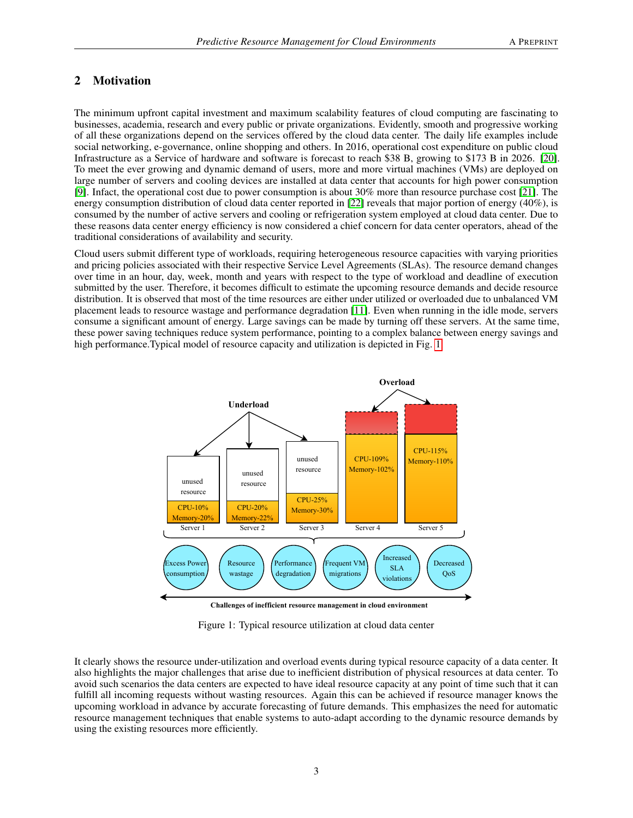# 2 Motivation

The minimum upfront capital investment and maximum scalability features of cloud computing are fascinating to businesses, academia, research and every public or private organizations. Evidently, smooth and progressive working of all these organizations depend on the services offered by the cloud data center. The daily life examples include social networking, e-governance, online shopping and others. In 2016, operational cost expenditure on public cloud Infrastructure as a Service of hardware and software is forecast to reach \$38 B, growing to \$173 B in 2026. [\[20\]](#page-14-17). To meet the ever growing and dynamic demand of users, more and more virtual machines (VMs) are deployed on large number of servers and cooling devices are installed at data center that accounts for high power consumption [\[9\]](#page-14-6). Infact, the operational cost due to power consumption is about 30% more than resource purchase cost [\[21\]](#page-14-18). The energy consumption distribution of cloud data center reported in [\[22\]](#page-14-19) reveals that major portion of energy (40%), is consumed by the number of active servers and cooling or refrigeration system employed at cloud data center. Due to these reasons data center energy efficiency is now considered a chief concern for data center operators, ahead of the traditional considerations of availability and security.

Cloud users submit different type of workloads, requiring heterogeneous resource capacities with varying priorities and pricing policies associated with their respective Service Level Agreements (SLAs). The resource demand changes over time in an hour, day, week, month and years with respect to the type of workload and deadline of execution submitted by the user. Therefore, it becomes difficult to estimate the upcoming resource demands and decide resource distribution. It is observed that most of the time resources are either under utilized or overloaded due to unbalanced VM placement leads to resource wastage and performance degradation [\[11\]](#page-14-8). Even when running in the idle mode, servers consume a significant amount of energy. Large savings can be made by turning off these servers. At the same time, these power saving techniques reduce system performance, pointing to a complex balance between energy savings and high performance.Typical model of resource capacity and utilization is depicted in Fig. [1.](#page-2-0)

<span id="page-2-0"></span>

Figure 1: Typical resource utilization at cloud data center

It clearly shows the resource under-utilization and overload events during typical resource capacity of a data center. It also highlights the major challenges that arise due to inefficient distribution of physical resources at data center. To avoid such scenarios the data centers are expected to have ideal resource capacity at any point of time such that it can fulfill all incoming requests without wasting resources. Again this can be achieved if resource manager knows the upcoming workload in advance by accurate forecasting of future demands. This emphasizes the need for automatic resource management techniques that enable systems to auto-adapt according to the dynamic resource demands by using the existing resources more efficiently.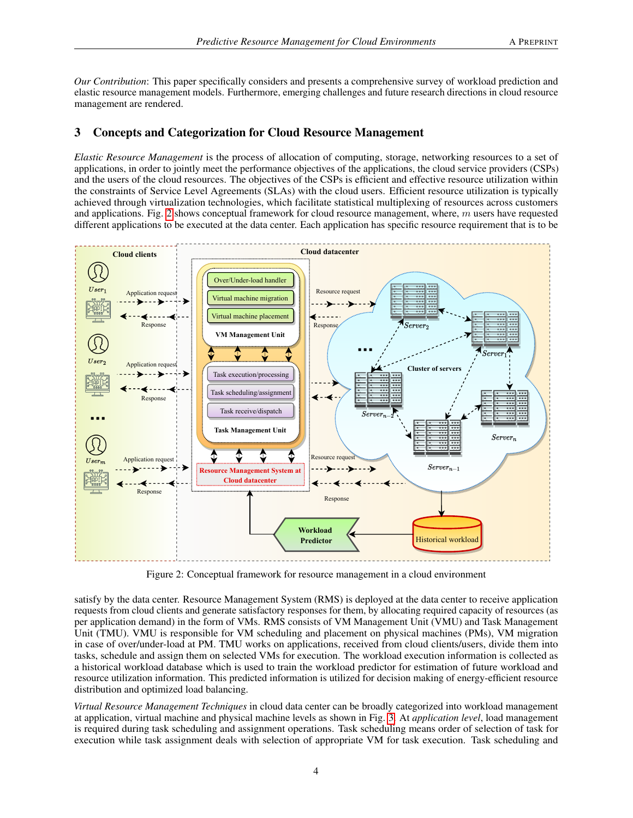*Our Contribution*: This paper specifically considers and presents a comprehensive survey of workload prediction and elastic resource management models. Furthermore, emerging challenges and future research directions in cloud resource management are rendered.

# 3 Concepts and Categorization for Cloud Resource Management

*Elastic Resource Management* is the process of allocation of computing, storage, networking resources to a set of applications, in order to jointly meet the performance objectives of the applications, the cloud service providers (CSPs) and the users of the cloud resources. The objectives of the CSPs is efficient and effective resource utilization within the constraints of Service Level Agreements (SLAs) with the cloud users. Efficient resource utilization is typically achieved through virtualization technologies, which facilitate statistical multiplexing of resources across customers and applications. Fig. [2](#page-3-0) shows conceptual framework for cloud resource management, where,  $m$  users have requested different applications to be executed at the data center. Each application has specific resource requirement that is to be

<span id="page-3-0"></span>

Figure 2: Conceptual framework for resource management in a cloud environment

satisfy by the data center. Resource Management System (RMS) is deployed at the data center to receive application requests from cloud clients and generate satisfactory responses for them, by allocating required capacity of resources (as per application demand) in the form of VMs. RMS consists of VM Management Unit (VMU) and Task Management Unit (TMU). VMU is responsible for VM scheduling and placement on physical machines (PMs), VM migration in case of over/under-load at PM. TMU works on applications, received from cloud clients/users, divide them into tasks, schedule and assign them on selected VMs for execution. The workload execution information is collected as a historical workload database which is used to train the workload predictor for estimation of future workload and resource utilization information. This predicted information is utilized for decision making of energy-efficient resource distribution and optimized load balancing.

*Virtual Resource Management Techniques* in cloud data center can be broadly categorized into workload management at application, virtual machine and physical machine levels as shown in Fig. [3.](#page-4-0) At *application level*, load management is required during task scheduling and assignment operations. Task scheduling means order of selection of task for execution while task assignment deals with selection of appropriate VM for task execution. Task scheduling and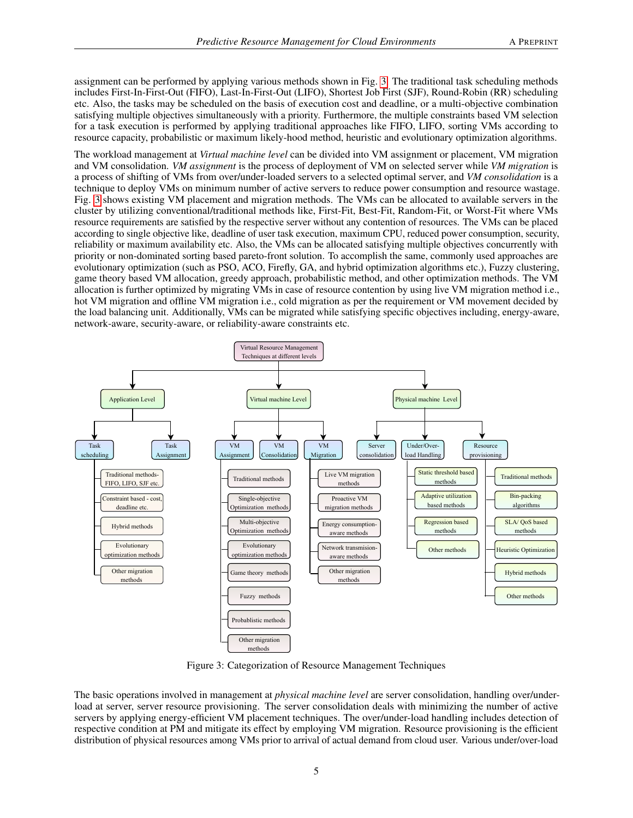assignment can be performed by applying various methods shown in Fig. [3.](#page-4-0) The traditional task scheduling methods includes First-In-First-Out (FIFO), Last-In-First-Out (LIFO), Shortest Job First (SJF), Round-Robin (RR) scheduling etc. Also, the tasks may be scheduled on the basis of execution cost and deadline, or a multi-objective combination satisfying multiple objectives simultaneously with a priority. Furthermore, the multiple constraints based VM selection for a task execution is performed by applying traditional approaches like FIFO, LIFO, sorting VMs according to resource capacity, probabilistic or maximum likely-hood method, heuristic and evolutionary optimization algorithms.

The workload management at *Virtual machine level* can be divided into VM assignment or placement, VM migration and VM consolidation. *VM assignment* is the process of deployment of VM on selected server while *VM migration* is a process of shifting of VMs from over/under-loaded servers to a selected optimal server, and *VM consolidation* is a technique to deploy VMs on minimum number of active servers to reduce power consumption and resource wastage. Fig. [3](#page-4-0) shows existing VM placement and migration methods. The VMs can be allocated to available servers in the cluster by utilizing conventional/traditional methods like, First-Fit, Best-Fit, Random-Fit, or Worst-Fit where VMs resource requirements are satisfied by the respective server without any contention of resources. The VMs can be placed according to single objective like, deadline of user task execution, maximum CPU, reduced power consumption, security, reliability or maximum availability etc. Also, the VMs can be allocated satisfying multiple objectives concurrently with priority or non-dominated sorting based pareto-front solution. To accomplish the same, commonly used approaches are evolutionary optimization (such as PSO, ACO, Firefly, GA, and hybrid optimization algorithms etc.), Fuzzy clustering, game theory based VM allocation, greedy approach, probabilistic method, and other optimization methods. The VM allocation is further optimized by migrating VMs in case of resource contention by using live VM migration method i.e., hot VM migration and offline VM migration i.e., cold migration as per the requirement or VM movement decided by the load balancing unit. Additionally, VMs can be migrated while satisfying specific objectives including, energy-aware, network-aware, security-aware, or reliability-aware constraints etc.

<span id="page-4-0"></span>

Figure 3: Categorization of Resource Management Techniques

The basic operations involved in management at *physical machine level* are server consolidation, handling over/underload at server, server resource provisioning. The server consolidation deals with minimizing the number of active servers by applying energy-efficient VM placement techniques. The over/under-load handling includes detection of respective condition at PM and mitigate its effect by employing VM migration. Resource provisioning is the efficient distribution of physical resources among VMs prior to arrival of actual demand from cloud user. Various under/over-load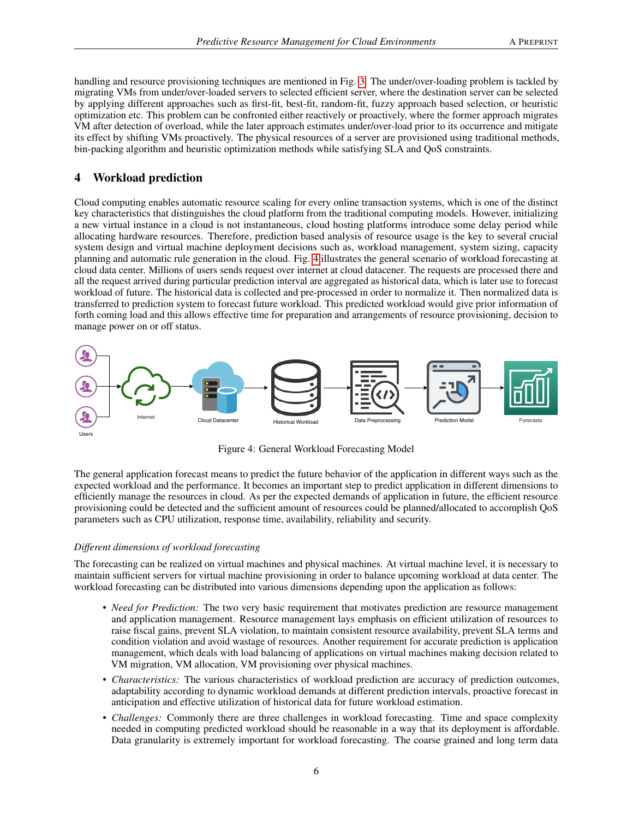handling and resource provisioning techniques are mentioned in Fig. [3.](#page-4-0) The under/over-loading problem is tackled by migrating VMs from under/over-loaded servers to selected efficient server, where the destination server can be selected by applying different approaches such as first-fit, best-fit, random-fit, fuzzy approach based selection, or heuristic optimization etc. This problem can be confronted either reactively or proactively, where the former approach migrates VM after detection of overload, while the later approach estimates under/over-load prior to its occurrence and mitigate its effect by shifting VMs proactively. The physical resources of a server are provisioned using traditional methods, bin-packing algorithm and heuristic optimization methods while satisfying SLA and QoS constraints.

# 4 Workload prediction

Cloud computing enables automatic resource scaling for every online transaction systems, which is one of the distinct key characteristics that distinguishes the cloud platform from the traditional computing models. However, initializing a new virtual instance in a cloud is not instantaneous, cloud hosting platforms introduce some delay period while allocating hardware resources. Therefore, prediction based analysis of resource usage is the key to several crucial system design and virtual machine deployment decisions such as, workload management, system sizing, capacity planning and automatic rule generation in the cloud. Fig. [4](#page-5-0) illustrates the general scenario of workload forecasting at cloud data center. Millions of users sends request over internet at cloud datacener. The requests are processed there and all the request arrived during particular prediction interval are aggregated as historical data, which is later use to forecast workload of future. The historical data is collected and pre-processed in order to normalize it. Then normalized data is transferred to prediction system to forecast future workload. This predicted workload would give prior information of forth coming load and this allows effective time for preparation and arrangements of resource provisioning, decision to manage power on or off status.

<span id="page-5-0"></span>

Figure 4: General Workload Forecasting Model

The general application forecast means to predict the future behavior of the application in different ways such as the expected workload and the performance. It becomes an important step to predict application in different dimensions to efficiently manage the resources in cloud. As per the expected demands of application in future, the efficient resource provisioning could be detected and the sufficient amount of resources could be planned/allocated to accomplish QoS parameters such as CPU utilization, response time, availability, reliability and security.

#### *Different dimensions of workload forecasting*

The forecasting can be realized on virtual machines and physical machines. At virtual machine level, it is necessary to maintain sufficient servers for virtual machine provisioning in order to balance upcoming workload at data center. The workload forecasting can be distributed into various dimensions depending upon the application as follows:

- *Need for Prediction:* The two very basic requirement that motivates prediction are resource management and application management. Resource management lays emphasis on efficient utilization of resources to raise fiscal gains, prevent SLA violation, to maintain consistent resource availability, prevent SLA terms and condition violation and avoid wastage of resources. Another requirement for accurate prediction is application management, which deals with load balancing of applications on virtual machines making decision related to VM migration, VM allocation, VM provisioning over physical machines.
- *Characteristics:* The various characteristics of workload prediction are accuracy of prediction outcomes, adaptability according to dynamic workload demands at different prediction intervals, proactive forecast in anticipation and effective utilization of historical data for future workload estimation.
- *Challenges:* Commonly there are three challenges in workload forecasting. Time and space complexity needed in computing predicted workload should be reasonable in a way that its deployment is affordable. Data granularity is extremely important for workload forecasting. The coarse grained and long term data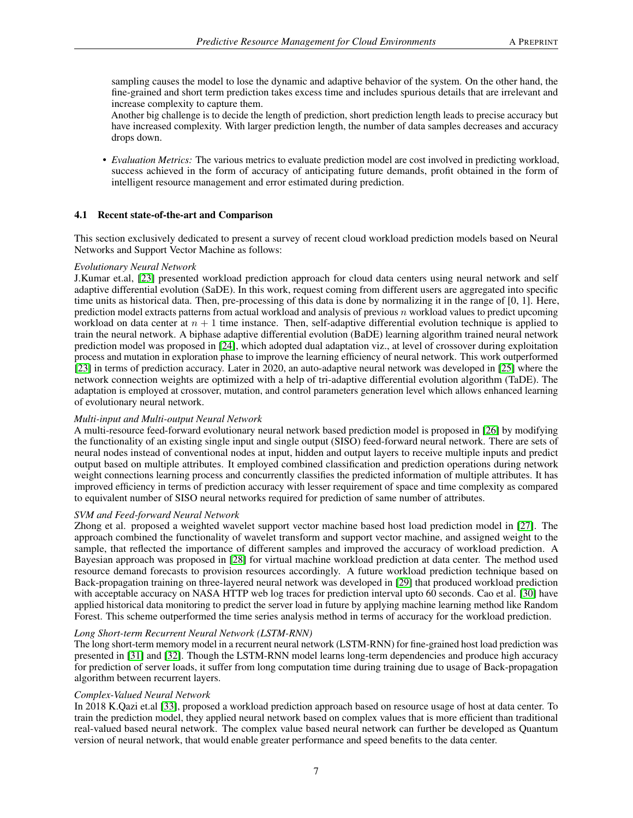sampling causes the model to lose the dynamic and adaptive behavior of the system. On the other hand, the fine-grained and short term prediction takes excess time and includes spurious details that are irrelevant and increase complexity to capture them.

Another big challenge is to decide the length of prediction, short prediction length leads to precise accuracy but have increased complexity. With larger prediction length, the number of data samples decreases and accuracy drops down.

• *Evaluation Metrics:* The various metrics to evaluate prediction model are cost involved in predicting workload, success achieved in the form of accuracy of anticipating future demands, profit obtained in the form of intelligent resource management and error estimated during prediction.

## 4.1 Recent state-of-the-art and Comparison

This section exclusively dedicated to present a survey of recent cloud workload prediction models based on Neural Networks and Support Vector Machine as follows:

## *Evolutionary Neural Network*

J.Kumar et.al, [\[23\]](#page-14-20) presented workload prediction approach for cloud data centers using neural network and self adaptive differential evolution (SaDE). In this work, request coming from different users are aggregated into specific time units as historical data. Then, pre-processing of this data is done by normalizing it in the range of [0, 1]. Here, prediction model extracts patterns from actual workload and analysis of previous  $n$  workload values to predict upcoming workload on data center at  $n + 1$  time instance. Then, self-adaptive differential evolution technique is applied to train the neural network. A biphase adaptive differential evolution (BaDE) learning algorithm trained neural network prediction model was proposed in [\[24\]](#page-14-21), which adopted dual adaptation viz., at level of crossover during exploitation process and mutation in exploration phase to improve the learning efficiency of neural network. This work outperformed [\[23\]](#page-14-20) in terms of prediction accuracy. Later in 2020, an auto-adaptive neural network was developed in [\[25\]](#page-14-22) where the network connection weights are optimized with a help of tri-adaptive differential evolution algorithm (TaDE). The adaptation is employed at crossover, mutation, and control parameters generation level which allows enhanced learning of evolutionary neural network.

## *Multi-input and Multi-output Neural Network*

A multi-resource feed-forward evolutionary neural network based prediction model is proposed in [\[26\]](#page-14-23) by modifying the functionality of an existing single input and single output (SISO) feed-forward neural network. There are sets of neural nodes instead of conventional nodes at input, hidden and output layers to receive multiple inputs and predict output based on multiple attributes. It employed combined classification and prediction operations during network weight connections learning process and concurrently classifies the predicted information of multiple attributes. It has improved efficiency in terms of prediction accuracy with lesser requirement of space and time complexity as compared to equivalent number of SISO neural networks required for prediction of same number of attributes.

## *SVM and Feed-forward Neural Network*

Zhong et al. proposed a weighted wavelet support vector machine based host load prediction model in [\[27\]](#page-15-0). The approach combined the functionality of wavelet transform and support vector machine, and assigned weight to the sample, that reflected the importance of different samples and improved the accuracy of workload prediction. A Bayesian approach was proposed in [\[28\]](#page-15-1) for virtual machine workload prediction at data center. The method used resource demand forecasts to provision resources accordingly. A future workload prediction technique based on Back-propagation training on three-layered neural network was developed in [\[29\]](#page-15-2) that produced workload prediction with acceptable accuracy on NASA HTTP web log traces for prediction interval upto 60 seconds. Cao et al. [\[30\]](#page-15-3) have applied historical data monitoring to predict the server load in future by applying machine learning method like Random Forest. This scheme outperformed the time series analysis method in terms of accuracy for the workload prediction.

#### *Long Short-term Recurrent Neural Network (LSTM-RNN)*

The long short-term memory model in a recurrent neural network (LSTM-RNN) for fine-grained host load prediction was presented in [\[31\]](#page-15-4) and [\[32\]](#page-15-5). Though the LSTM-RNN model learns long-term dependencies and produce high accuracy for prediction of server loads, it suffer from long computation time during training due to usage of Back-propagation algorithm between recurrent layers.

## *Complex-Valued Neural Network*

In 2018 K.Qazi et.al [\[33\]](#page-15-6), proposed a workload prediction approach based on resource usage of host at data center. To train the prediction model, they applied neural network based on complex values that is more efficient than traditional real-valued based neural network. The complex value based neural network can further be developed as Quantum version of neural network, that would enable greater performance and speed benefits to the data center.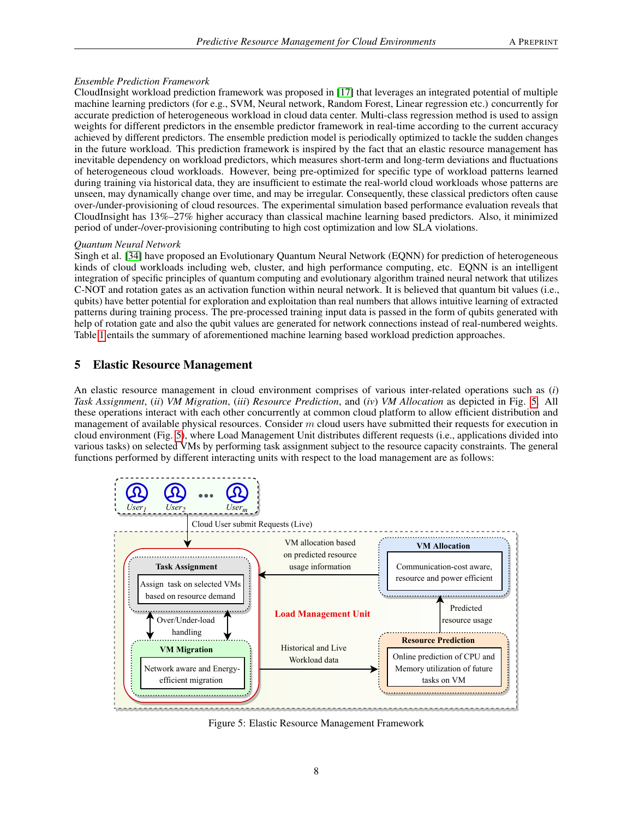#### *Ensemble Prediction Framework*

CloudInsight workload prediction framework was proposed in [\[17\]](#page-14-14) that leverages an integrated potential of multiple machine learning predictors (for e.g., SVM, Neural network, Random Forest, Linear regression etc.) concurrently for accurate prediction of heterogeneous workload in cloud data center. Multi-class regression method is used to assign weights for different predictors in the ensemble predictor framework in real-time according to the current accuracy achieved by different predictors. The ensemble prediction model is periodically optimized to tackle the sudden changes in the future workload. This prediction framework is inspired by the fact that an elastic resource management has inevitable dependency on workload predictors, which measures short-term and long-term deviations and fluctuations of heterogeneous cloud workloads. However, being pre-optimized for specific type of workload patterns learned during training via historical data, they are insufficient to estimate the real-world cloud workloads whose patterns are unseen, may dynamically change over time, and may be irregular. Consequently, these classical predictors often cause over-/under-provisioning of cloud resources. The experimental simulation based performance evaluation reveals that CloudInsight has 13%–27% higher accuracy than classical machine learning based predictors. Also, it minimized period of under-/over-provisioning contributing to high cost optimization and low SLA violations.

## *Quantum Neural Network*

Singh et al. [\[34\]](#page-15-7) have proposed an Evolutionary Quantum Neural Network (EQNN) for prediction of heterogeneous kinds of cloud workloads including web, cluster, and high performance computing, etc. EQNN is an intelligent integration of specific principles of quantum computing and evolutionary algorithm trained neural network that utilizes C-NOT and rotation gates as an activation function within neural network. It is believed that quantum bit values (i.e., qubits) have better potential for exploration and exploitation than real numbers that allows intuitive learning of extracted patterns during training process. The pre-processed training input data is passed in the form of qubits generated with help of rotation gate and also the qubit values are generated for network connections instead of real-numbered weights. Table [1](#page-8-0) entails the summary of aforementioned machine learning based workload prediction approaches.

# 5 Elastic Resource Management

An elastic resource management in cloud environment comprises of various inter-related operations such as (*i*) *Task Assignment*, (*ii*) *VM Migration*, (*iii*) *Resource Prediction*, and (*iv*) *VM Allocation* as depicted in Fig. [5.](#page-7-0) All these operations interact with each other concurrently at common cloud platform to allow efficient distribution and management of available physical resources. Consider m cloud users have submitted their requests for execution in cloud environment (Fig. [5\)](#page-7-0), where Load Management Unit distributes different requests (i.e., applications divided into various tasks) on selected VMs by performing task assignment subject to the resource capacity constraints. The general functions performed by different interacting units with respect to the load management are as follows:

<span id="page-7-0"></span>

Figure 5: Elastic Resource Management Framework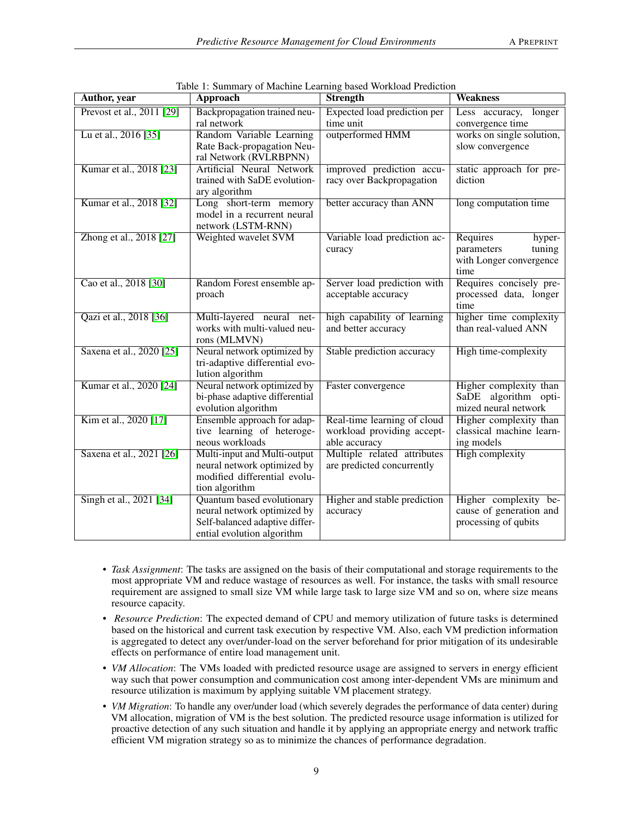<span id="page-8-0"></span>

| <b>Author</b> , year      | <b>Approach</b>                                                                                                           | <b>Strength</b>                                                            | <b>Weakness</b>                                                               |
|---------------------------|---------------------------------------------------------------------------------------------------------------------------|----------------------------------------------------------------------------|-------------------------------------------------------------------------------|
| Prevost et al., 2011 [29] | Backpropagation trained neu-<br>ral network                                                                               | Expected load prediction per<br>time unit                                  | Less accuracy,<br>longer<br>convergence time                                  |
| Lu et al., 2016 [35]      | Random Variable Learning<br>Rate Back-propagation Neu-<br>ral Network (RVLRBPNN)                                          | outperformed HMM                                                           | works on single solution,<br>slow convergence                                 |
| Kumar et al., 2018 [23]   | Artificial Neural Network<br>trained with SaDE evolution-<br>ary algorithm                                                | improved prediction accu-<br>racy over Backpropagation                     | static approach for pre-<br>diction                                           |
| Kumar et al., 2018 [32]   | Long short-term memory<br>model in a recurrent neural<br>network (LSTM-RNN)                                               | better accuracy than ANN                                                   | long computation time                                                         |
| Zhong et al., 2018 [27]   | Weighted wavelet SVM                                                                                                      | Variable load prediction ac-<br>curacy                                     | Requires<br>hyper-<br>parameters<br>tuning<br>with Longer convergence<br>time |
| Cao et al., 2018 [30]     | Random Forest ensemble ap-<br>proach                                                                                      | Server load prediction with<br>acceptable accuracy                         | Requires concisely pre-<br>processed data, longer<br>time                     |
| Qazi et al., 2018 [36]    | Multi-layered neural net-<br>works with multi-valued neu-<br>rons (MLMVN)                                                 | high capability of learning<br>and better accuracy                         | higher time complexity<br>than real-valued ANN                                |
| Saxena et al., 2020 [25]  | Neural network optimized by<br>tri-adaptive differential evo-<br>lution algorithm                                         | Stable prediction accuracy                                                 | High time-complexity                                                          |
| Kumar et al., 2020 [24]   | Neural network optimized by<br>bi-phase adaptive differential<br>evolution algorithm                                      | Faster convergence                                                         | Higher complexity than<br>SaDE algorithm opti-<br>mized neural network        |
| Kim et al., 2020 [17]     | Ensemble approach for adap-<br>tive learning of heteroge-<br>neous workloads                                              | Real-time learning of cloud<br>workload providing accept-<br>able accuracy | Higher complexity than<br>classical machine learn-<br>ing models              |
| Saxena et al., 2021 [26]  | Multi-input and Multi-output<br>neural network optimized by<br>modified differential evolu-<br>tion algorithm             | Multiple related attributes<br>are predicted concurrently                  | <b>High complexity</b>                                                        |
| Singh et al., 2021 [34]   | Quantum based evolutionary<br>neural network optimized by<br>Self-balanced adaptive differ-<br>ential evolution algorithm | Higher and stable prediction<br>accuracy                                   | Higher complexity be-<br>cause of generation and<br>processing of qubits      |

Table 1: Summary of Machine Learning based Workload Prediction

- *Task Assignment*: The tasks are assigned on the basis of their computational and storage requirements to the most appropriate VM and reduce wastage of resources as well. For instance, the tasks with small resource requirement are assigned to small size VM while large task to large size VM and so on, where size means resource capacity.
- *Resource Prediction*: The expected demand of CPU and memory utilization of future tasks is determined based on the historical and current task execution by respective VM. Also, each VM prediction information is aggregated to detect any over/under-load on the server beforehand for prior mitigation of its undesirable effects on performance of entire load management unit.
- *VM Allocation*: The VMs loaded with predicted resource usage are assigned to servers in energy efficient way such that power consumption and communication cost among inter-dependent VMs are minimum and resource utilization is maximum by applying suitable VM placement strategy.
- *VM Migration*: To handle any over/under load (which severely degrades the performance of data center) during VM allocation, migration of VM is the best solution. The predicted resource usage information is utilized for proactive detection of any such situation and handle it by applying an appropriate energy and network traffic efficient VM migration strategy so as to minimize the chances of performance degradation.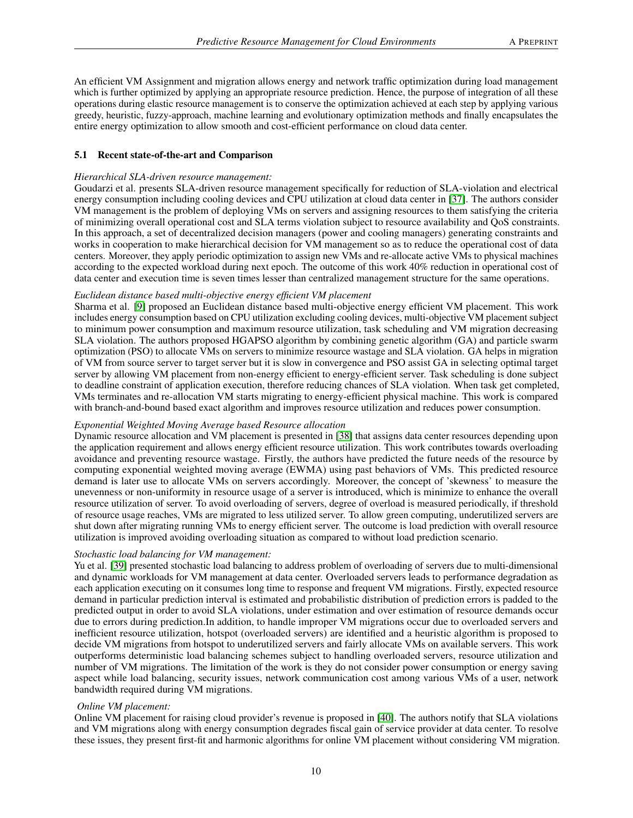An efficient VM Assignment and migration allows energy and network traffic optimization during load management which is further optimized by applying an appropriate resource prediction. Hence, the purpose of integration of all these operations during elastic resource management is to conserve the optimization achieved at each step by applying various greedy, heuristic, fuzzy-approach, machine learning and evolutionary optimization methods and finally encapsulates the entire energy optimization to allow smooth and cost-efficient performance on cloud data center.

#### 5.1 Recent state-of-the-art and Comparison

#### *Hierarchical SLA-driven resource management:*

Goudarzi et al. presents SLA-driven resource management specifically for reduction of SLA-violation and electrical energy consumption including cooling devices and CPU utilization at cloud data center in [\[37\]](#page-15-10). The authors consider VM management is the problem of deploying VMs on servers and assigning resources to them satisfying the criteria of minimizing overall operational cost and SLA terms violation subject to resource availability and QoS constraints. In this approach, a set of decentralized decision managers (power and cooling managers) generating constraints and works in cooperation to make hierarchical decision for VM management so as to reduce the operational cost of data centers. Moreover, they apply periodic optimization to assign new VMs and re-allocate active VMs to physical machines according to the expected workload during next epoch. The outcome of this work 40% reduction in operational cost of data center and execution time is seven times lesser than centralized management structure for the same operations.

#### *Euclidean distance based multi-objective energy efficient VM placement*

Sharma et al. [\[9\]](#page-14-6) proposed an Euclidean distance based multi-objective energy efficient VM placement. This work includes energy consumption based on CPU utilization excluding cooling devices, multi-objective VM placement subject to minimum power consumption and maximum resource utilization, task scheduling and VM migration decreasing SLA violation. The authors proposed HGAPSO algorithm by combining genetic algorithm (GA) and particle swarm optimization (PSO) to allocate VMs on servers to minimize resource wastage and SLA violation. GA helps in migration of VM from source server to target server but it is slow in convergence and PSO assist GA in selecting optimal target server by allowing VM placement from non-energy efficient to energy-efficient server. Task scheduling is done subject to deadline constraint of application execution, therefore reducing chances of SLA violation. When task get completed, VMs terminates and re-allocation VM starts migrating to energy-efficient physical machine. This work is compared with branch-and-bound based exact algorithm and improves resource utilization and reduces power consumption.

#### *Exponential Weighted Moving Average based Resource allocation*

Dynamic resource allocation and VM placement is presented in [\[38\]](#page-15-11) that assigns data center resources depending upon the application requirement and allows energy efficient resource utilization. This work contributes towards overloading avoidance and preventing resource wastage. Firstly, the authors have predicted the future needs of the resource by computing exponential weighted moving average (EWMA) using past behaviors of VMs. This predicted resource demand is later use to allocate VMs on servers accordingly. Moreover, the concept of 'skewness' to measure the unevenness or non-uniformity in resource usage of a server is introduced, which is minimize to enhance the overall resource utilization of server. To avoid overloading of servers, degree of overload is measured periodically, if threshold of resource usage reaches, VMs are migrated to less utilized server. To allow green computing, underutilized servers are shut down after migrating running VMs to energy efficient server. The outcome is load prediction with overall resource utilization is improved avoiding overloading situation as compared to without load prediction scenario.

#### *Stochastic load balancing for VM management:*

Yu et al. [\[39\]](#page-15-12) presented stochastic load balancing to address problem of overloading of servers due to multi-dimensional and dynamic workloads for VM management at data center. Overloaded servers leads to performance degradation as each application executing on it consumes long time to response and frequent VM migrations. Firstly, expected resource demand in particular prediction interval is estimated and probabilistic distribution of prediction errors is padded to the predicted output in order to avoid SLA violations, under estimation and over estimation of resource demands occur due to errors during prediction.In addition, to handle improper VM migrations occur due to overloaded servers and inefficient resource utilization, hotspot (overloaded servers) are identified and a heuristic algorithm is proposed to decide VM migrations from hotspot to underutilized servers and fairly allocate VMs on available servers. This work outperforms deterministic load balancing schemes subject to handling overloaded servers, resource utilization and number of VM migrations. The limitation of the work is they do not consider power consumption or energy saving aspect while load balancing, security issues, network communication cost among various VMs of a user, network bandwidth required during VM migrations.

#### *Online VM placement:*

Online VM placement for raising cloud provider's revenue is proposed in [\[40\]](#page-15-13). The authors notify that SLA violations and VM migrations along with energy consumption degrades fiscal gain of service provider at data center. To resolve these issues, they present first-fit and harmonic algorithms for online VM placement without considering VM migration.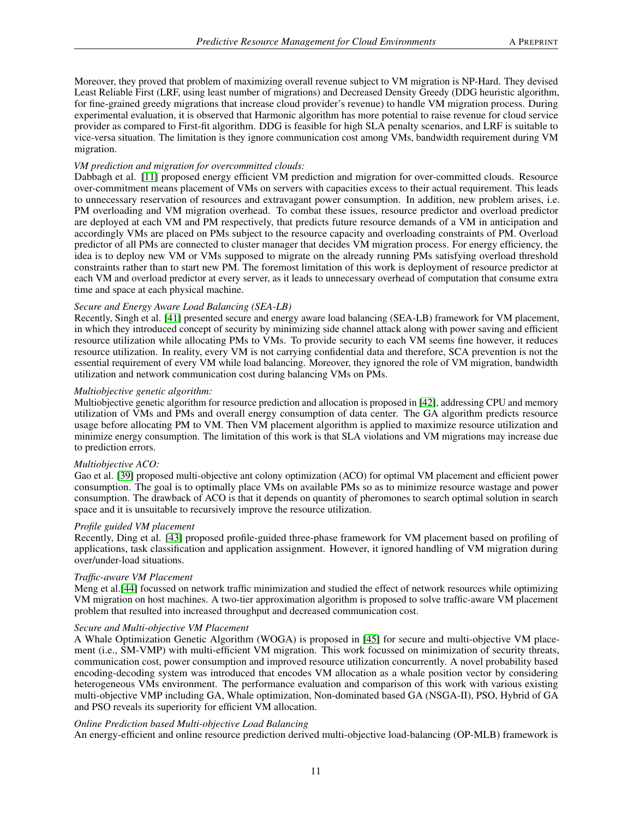Moreover, they proved that problem of maximizing overall revenue subject to VM migration is NP-Hard. They devised Least Reliable First (LRF, using least number of migrations) and Decreased Density Greedy (DDG heuristic algorithm, for fine-grained greedy migrations that increase cloud provider's revenue) to handle VM migration process. During experimental evaluation, it is observed that Harmonic algorithm has more potential to raise revenue for cloud service provider as compared to First-fit algorithm. DDG is feasible for high SLA penalty scenarios, and LRF is suitable to vice-versa situation. The limitation is they ignore communication cost among VMs, bandwidth requirement during VM migration.

#### *VM prediction and migration for overcommitted clouds:*

Dabbagh et al. [\[11\]](#page-14-8) proposed energy efficient VM prediction and migration for over-committed clouds. Resource over-commitment means placement of VMs on servers with capacities excess to their actual requirement. This leads to unnecessary reservation of resources and extravagant power consumption. In addition, new problem arises, i.e. PM overloading and VM migration overhead. To combat these issues, resource predictor and overload predictor are deployed at each VM and PM respectively, that predicts future resource demands of a VM in anticipation and accordingly VMs are placed on PMs subject to the resource capacity and overloading constraints of PM. Overload predictor of all PMs are connected to cluster manager that decides VM migration process. For energy efficiency, the idea is to deploy new VM or VMs supposed to migrate on the already running PMs satisfying overload threshold constraints rather than to start new PM. The foremost limitation of this work is deployment of resource predictor at each VM and overload predictor at every server, as it leads to unnecessary overhead of computation that consume extra time and space at each physical machine.

#### *Secure and Energy Aware Load Balancing (SEA-LB)*

Recently, Singh et al. [\[41\]](#page-15-14) presented secure and energy aware load balancing (SEA-LB) framework for VM placement, in which they introduced concept of security by minimizing side channel attack along with power saving and efficient resource utilization while allocating PMs to VMs. To provide security to each VM seems fine however, it reduces resource utilization. In reality, every VM is not carrying confidential data and therefore, SCA prevention is not the essential requirement of every VM while load balancing. Moreover, they ignored the role of VM migration, bandwidth utilization and network communication cost during balancing VMs on PMs.

#### *Multiobjective genetic algorithm:*

Multiobjective genetic algorithm for resource prediction and allocation is proposed in [\[42\]](#page-15-15), addressing CPU and memory utilization of VMs and PMs and overall energy consumption of data center. The GA algorithm predicts resource usage before allocating PM to VM. Then VM placement algorithm is applied to maximize resource utilization and minimize energy consumption. The limitation of this work is that SLA violations and VM migrations may increase due to prediction errors.

#### *Multiobjective ACO:*

Gao et al. [\[39\]](#page-15-12) proposed multi-objective ant colony optimization (ACO) for optimal VM placement and efficient power consumption. The goal is to optimally place VMs on available PMs so as to minimize resource wastage and power consumption. The drawback of ACO is that it depends on quantity of pheromones to search optimal solution in search space and it is unsuitable to recursively improve the resource utilization.

#### *Profile guided VM placement*

Recently, Ding et al. [\[43\]](#page-15-16) proposed profile-guided three-phase framework for VM placement based on profiling of applications, task classification and application assignment. However, it ignored handling of VM migration during over/under-load situations.

#### *Traffic-aware VM Placement*

Meng et al.[\[44\]](#page-15-17) focussed on network traffic minimization and studied the effect of network resources while optimizing VM migration on host machines. A two-tier approximation algorithm is proposed to solve traffic-aware VM placement problem that resulted into increased throughput and decreased communication cost.

#### *Secure and Multi-objective VM Placement*

A Whale Optimization Genetic Algorithm (WOGA) is proposed in [\[45\]](#page-15-18) for secure and multi-objective VM placement (i.e., SM-VMP) with multi-efficient VM migration. This work focussed on minimization of security threats, communication cost, power consumption and improved resource utilization concurrently. A novel probability based encoding-decoding system was introduced that encodes VM allocation as a whale position vector by considering heterogeneous VMs environment. The performance evaluation and comparison of this work with various existing multi-objective VMP including GA, Whale optimization, Non-dominated based GA (NSGA-II), PSO, Hybrid of GA and PSO reveals its superiority for efficient VM allocation.

#### *Online Prediction based Multi-objective Load Balancing*

An energy-efficient and online resource prediction derived multi-objective load-balancing (OP-MLB) framework is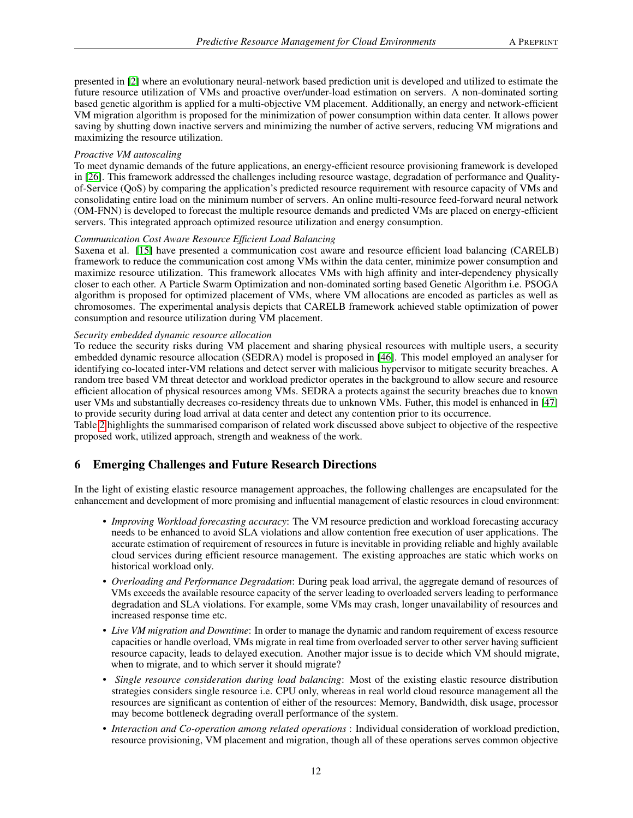presented in [\[2\]](#page-13-1) where an evolutionary neural-network based prediction unit is developed and utilized to estimate the future resource utilization of VMs and proactive over/under-load estimation on servers. A non-dominated sorting based genetic algorithm is applied for a multi-objective VM placement. Additionally, an energy and network-efficient VM migration algorithm is proposed for the minimization of power consumption within data center. It allows power saving by shutting down inactive servers and minimizing the number of active servers, reducing VM migrations and maximizing the resource utilization.

#### *Proactive VM autoscaling*

To meet dynamic demands of the future applications, an energy-efficient resource provisioning framework is developed in [\[26\]](#page-14-23). This framework addressed the challenges including resource wastage, degradation of performance and Qualityof-Service (QoS) by comparing the application's predicted resource requirement with resource capacity of VMs and consolidating entire load on the minimum number of servers. An online multi-resource feed-forward neural network (OM-FNN) is developed to forecast the multiple resource demands and predicted VMs are placed on energy-efficient servers. This integrated approach optimized resource utilization and energy consumption.

#### *Communication Cost Aware Resource Efficient Load Balancing*

Saxena et al. [\[15\]](#page-14-12) have presented a communication cost aware and resource efficient load balancing (CARELB) framework to reduce the communication cost among VMs within the data center, minimize power consumption and maximize resource utilization. This framework allocates VMs with high affinity and inter-dependency physically closer to each other. A Particle Swarm Optimization and non-dominated sorting based Genetic Algorithm i.e. PSOGA algorithm is proposed for optimized placement of VMs, where VM allocations are encoded as particles as well as chromosomes. The experimental analysis depicts that CARELB framework achieved stable optimization of power consumption and resource utilization during VM placement.

#### *Security embedded dynamic resource allocation*

To reduce the security risks during VM placement and sharing physical resources with multiple users, a security embedded dynamic resource allocation (SEDRA) model is proposed in [\[46\]](#page-15-19). This model employed an analyser for identifying co-located inter-VM relations and detect server with malicious hypervisor to mitigate security breaches. A random tree based VM threat detector and workload predictor operates in the background to allow secure and resource efficient allocation of physical resources among VMs. SEDRA a protects against the security breaches due to known user VMs and substantially decreases co-residency threats due to unknown VMs. Futher, this model is enhanced in [\[47\]](#page-15-20) to provide security during load arrival at data center and detect any contention prior to its occurrence.

Table [2](#page-13-2) highlights the summarised comparison of related work discussed above subject to objective of the respective proposed work, utilized approach, strength and weakness of the work.

# 6 Emerging Challenges and Future Research Directions

In the light of existing elastic resource management approaches, the following challenges are encapsulated for the enhancement and development of more promising and influential management of elastic resources in cloud environment:

- *Improving Workload forecasting accuracy*: The VM resource prediction and workload forecasting accuracy needs to be enhanced to avoid SLA violations and allow contention free execution of user applications. The accurate estimation of requirement of resources in future is inevitable in providing reliable and highly available cloud services during efficient resource management. The existing approaches are static which works on historical workload only.
- *Overloading and Performance Degradation*: During peak load arrival, the aggregate demand of resources of VMs exceeds the available resource capacity of the server leading to overloaded servers leading to performance degradation and SLA violations. For example, some VMs may crash, longer unavailability of resources and increased response time etc.
- *Live VM migration and Downtime*: In order to manage the dynamic and random requirement of excess resource capacities or handle overload, VMs migrate in real time from overloaded server to other server having sufficient resource capacity, leads to delayed execution. Another major issue is to decide which VM should migrate, when to migrate, and to which server it should migrate?
- *Single resource consideration during load balancing*: Most of the existing elastic resource distribution strategies considers single resource i.e. CPU only, whereas in real world cloud resource management all the resources are significant as contention of either of the resources: Memory, Bandwidth, disk usage, processor may become bottleneck degrading overall performance of the system.
- *Interaction and Co-operation among related operations* : Individual consideration of workload prediction, resource provisioning, VM placement and migration, though all of these operations serves common objective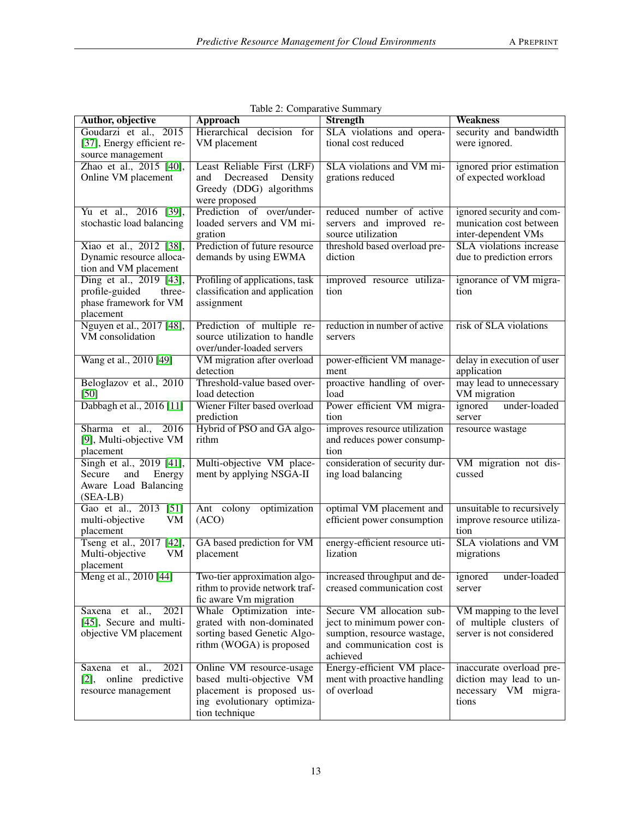| Author, objective                                                                          | <b>Approach</b>                                                                                                                   | $\tilde{\phantom{a}}$<br><b>Strength</b>                                                                                            | <b>Weakness</b>                                                                     |
|--------------------------------------------------------------------------------------------|-----------------------------------------------------------------------------------------------------------------------------------|-------------------------------------------------------------------------------------------------------------------------------------|-------------------------------------------------------------------------------------|
| Goudarzi et al., 2015<br>[37], Energy efficient re-<br>source management                   | Hierarchical decision for<br>VM placement                                                                                         | SLA violations and opera-<br>tional cost reduced                                                                                    | security and bandwidth<br>were ignored.                                             |
| Zhao et al., 2015 [40],<br>Online VM placement                                             | Least Reliable First (LRF)<br>Decreased<br>Density<br>and<br>Greedy (DDG) algorithms<br>were proposed                             | SLA violations and VM mi-<br>grations reduced                                                                                       | ignored prior estimation<br>of expected workload                                    |
| Yu et al., 2016 [39],<br>stochastic load balancing                                         | Prediction of over/under-<br>loaded servers and VM mi-<br>gration                                                                 | reduced number of active<br>servers and improved re-<br>source utilization                                                          | ignored security and com-<br>munication cost between<br>inter-dependent VMs         |
| Xiao et al., 2012 [38],<br>Dynamic resource alloca-<br>tion and VM placement               | Prediction of future resource<br>demands by using EWMA                                                                            | threshold based overload pre-<br>diction                                                                                            | SLA violations increase<br>due to prediction errors                                 |
| Ding et al., 2019 [43],<br>profile-guided<br>three-<br>phase framework for VM<br>placement | Profiling of applications, task<br>classification and application<br>assignment                                                   | improved resource utiliza-<br>tion                                                                                                  | ignorance of VM migra-<br>tion                                                      |
| Nguyen et al., 2017 [48],<br>VM consolidation                                              | Prediction of multiple re-<br>source utilization to handle<br>over/under-loaded servers                                           | reduction in number of active<br>servers                                                                                            | risk of SLA violations                                                              |
| Wang et al., 2010 [49]                                                                     | VM migration after overload<br>detection                                                                                          | power-efficient VM manage-<br>ment                                                                                                  | delay in execution of user<br>application                                           |
| Beloglazov et al., 2010<br>$[50]$                                                          | Threshold-value based over-<br>load detection                                                                                     | proactive handling of over-<br>load                                                                                                 | may lead to unnecessary<br>VM migration                                             |
| Dabbagh et al., 2016 [11]                                                                  | Wiener Filter based overload<br>prediction                                                                                        | Power efficient VM migra-<br>tion                                                                                                   | ignored<br>under-loaded<br>server                                                   |
| Sharma et al., 2016<br>[9], Multi-objective VM<br>placement                                | Hybrid of PSO and GA algo-<br>rithm                                                                                               | improves resource utilization<br>and reduces power consump-<br>tion                                                                 | resource wastage                                                                    |
| Singh et al., 2019 [41],<br>and<br>Energy<br>Secure<br>Aware Load Balancing<br>$(SEA-LB)$  | Multi-objective VM place-<br>ment by applying NSGA-II                                                                             | consideration of security dur-<br>ing load balancing                                                                                | VM migration not dis-<br>cussed                                                     |
| Gao et al., 2013 [51]<br>multi-objective<br>VM<br>placement                                | Ant colony optimization<br>(ACO)                                                                                                  | optimal VM placement and<br>efficient power consumption                                                                             | unsuitable to recursively<br>improve resource utiliza-<br>tion                      |
| Tseng et al., 2017 [42],<br>Multi-objective<br>VM<br>placement                             | GA based prediction for VM<br>placement                                                                                           | energy-efficient resource uti-<br>lization                                                                                          | <b>SLA</b> violations and VM<br>migrations                                          |
|                                                                                            | rithm to provide network traf-<br>fic aware Vm migration                                                                          | Meng et al., 2010 [44] Two-tier approximation algo- increased throughput and de- ignored under-loaded<br>creased communication cost | server                                                                              |
| Saxena et al.,<br>2021<br>[45], Secure and multi-<br>objective VM placement                | Whale Optimization inte-<br>grated with non-dominated<br>sorting based Genetic Algo-<br>rithm (WOGA) is proposed                  | Secure VM allocation sub-<br>ject to minimum power con-<br>sumption, resource wastage,<br>and communication cost is<br>achieved     | VM mapping to the level<br>of multiple clusters of<br>server is not considered      |
| 2021<br>Saxena et<br>al.,<br>[2], online predictive<br>resource management                 | Online VM resource-usage<br>based multi-objective VM<br>placement is proposed us-<br>ing evolutionary optimiza-<br>tion technique | Energy-efficient VM place-<br>ment with proactive handling<br>of overload                                                           | inaccurate overload pre-<br>diction may lead to un-<br>necessary VM migra-<br>tions |

Table 2: Comparative Summary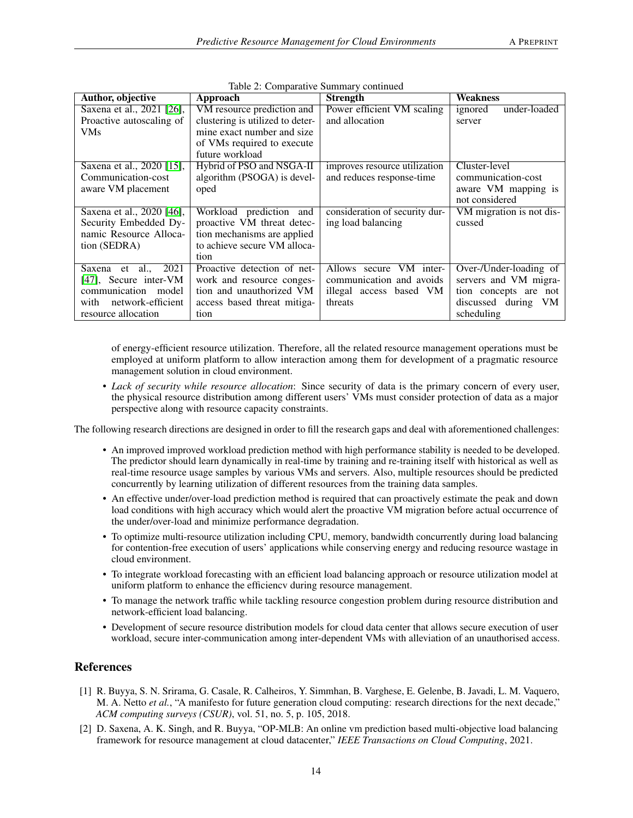<span id="page-13-2"></span>

| Author, objective         | Approach                         | <b>Strength</b>                | <b>Weakness</b>          |
|---------------------------|----------------------------------|--------------------------------|--------------------------|
| Saxena et al., 2021 [26], | VM resource prediction and       | Power efficient VM scaling     | under-loaded<br>ignored  |
| Proactive autoscaling of  | clustering is utilized to deter- | and allocation                 | server                   |
| <b>VMs</b>                | mine exact number and size       |                                |                          |
|                           | of VMs required to execute       |                                |                          |
|                           | future workload                  |                                |                          |
| Saxena et al., 2020 [15], | Hybrid of PSO and NSGA-II        | improves resource utilization  | Cluster-level            |
| Communication-cost        | algorithm (PSOGA) is devel-      | and reduces response-time      | communication-cost       |
| aware VM placement        | oped                             |                                | aware VM mapping is      |
|                           |                                  |                                | not considered           |
| Saxena et al., 2020 [46], | Workload prediction and          | consideration of security dur- | VM migration is not dis- |
| Security Embedded Dy-     | proactive VM threat detec-       | ing load balancing             | cussed                   |
| namic Resource Alloca-    | tion mechanisms are applied      |                                |                          |
| tion (SEDRA)              | to achieve secure VM alloca-     |                                |                          |
|                           | tion                             |                                |                          |
| 2021<br>al.,<br>Saxena et | Proactive detection of net-      | VM inter-<br>Allows secure     | Over-/Under-loading of   |
| [47], Secure inter-VM     | work and resource conges-        | communication and avoids       | servers and VM migra-    |
| communication model       | tion and unauthorized VM         | illegal access based VM        | tion concepts are not    |
| network-efficient<br>with | access based threat mitiga-      | threats                        | discussed during<br>VM   |
| resource allocation       | tion                             |                                | scheduling               |

Table 2: Comparative Summary continued

of energy-efficient resource utilization. Therefore, all the related resource management operations must be employed at uniform platform to allow interaction among them for development of a pragmatic resource management solution in cloud environment.

• *Lack of security while resource allocation*: Since security of data is the primary concern of every user, the physical resource distribution among different users' VMs must consider protection of data as a major perspective along with resource capacity constraints.

The following research directions are designed in order to fill the research gaps and deal with aforementioned challenges:

- An improved improved workload prediction method with high performance stability is needed to be developed. The predictor should learn dynamically in real-time by training and re-training itself with historical as well as real-time resource usage samples by various VMs and servers. Also, multiple resources should be predicted concurrently by learning utilization of different resources from the training data samples.
- An effective under/over-load prediction method is required that can proactively estimate the peak and down load conditions with high accuracy which would alert the proactive VM migration before actual occurrence of the under/over-load and minimize performance degradation.
- To optimize multi-resource utilization including CPU, memory, bandwidth concurrently during load balancing for contention-free execution of users' applications while conserving energy and reducing resource wastage in cloud environment.
- To integrate workload forecasting with an efficient load balancing approach or resource utilization model at uniform platform to enhance the efficiencv during resource management.
- To manage the network traffic while tackling resource congestion problem during resource distribution and network-efficient load balancing.
- Development of secure resource distribution models for cloud data center that allows secure execution of user workload, secure inter-communication among inter-dependent VMs with alleviation of an unauthorised access.

# References

- <span id="page-13-0"></span>[1] R. Buyya, S. N. Srirama, G. Casale, R. Calheiros, Y. Simmhan, B. Varghese, E. Gelenbe, B. Javadi, L. M. Vaquero, M. A. Netto *et al.*, "A manifesto for future generation cloud computing: research directions for the next decade," *ACM computing surveys (CSUR)*, vol. 51, no. 5, p. 105, 2018.
- <span id="page-13-1"></span>[2] D. Saxena, A. K. Singh, and R. Buyya, "OP-MLB: An online vm prediction based multi-objective load balancing framework for resource management at cloud datacenter," *IEEE Transactions on Cloud Computing*, 2021.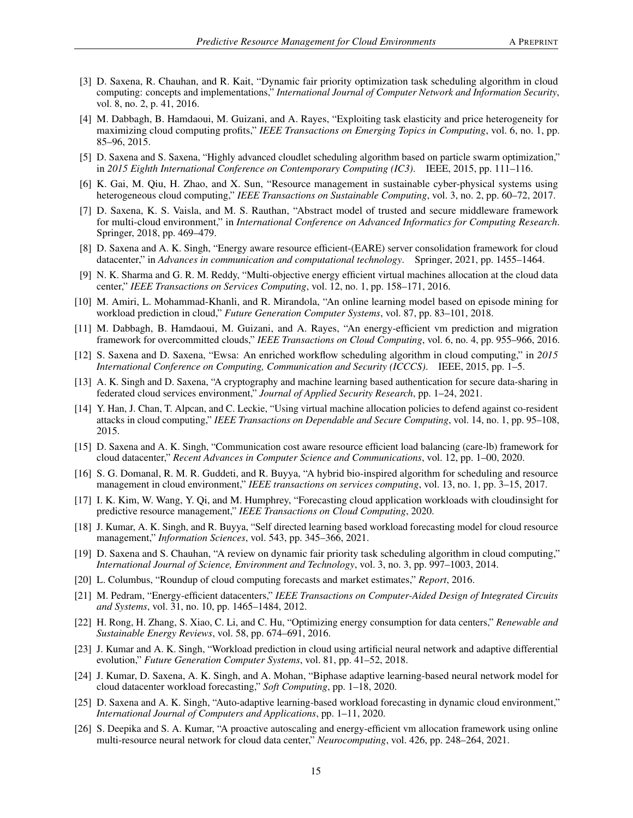- <span id="page-14-0"></span>[3] D. Saxena, R. Chauhan, and R. Kait, "Dynamic fair priority optimization task scheduling algorithm in cloud computing: concepts and implementations," *International Journal of Computer Network and Information Security*, vol. 8, no. 2, p. 41, 2016.
- <span id="page-14-1"></span>[4] M. Dabbagh, B. Hamdaoui, M. Guizani, and A. Rayes, "Exploiting task elasticity and price heterogeneity for maximizing cloud computing profits," *IEEE Transactions on Emerging Topics in Computing*, vol. 6, no. 1, pp. 85–96, 2015.
- <span id="page-14-2"></span>[5] D. Saxena and S. Saxena, "Highly advanced cloudlet scheduling algorithm based on particle swarm optimization," in *2015 Eighth International Conference on Contemporary Computing (IC3)*. IEEE, 2015, pp. 111–116.
- <span id="page-14-3"></span>[6] K. Gai, M. Qiu, H. Zhao, and X. Sun, "Resource management in sustainable cyber-physical systems using heterogeneous cloud computing," *IEEE Transactions on Sustainable Computing*, vol. 3, no. 2, pp. 60–72, 2017.
- <span id="page-14-4"></span>[7] D. Saxena, K. S. Vaisla, and M. S. Rauthan, "Abstract model of trusted and secure middleware framework for multi-cloud environment," in *International Conference on Advanced Informatics for Computing Research*. Springer, 2018, pp. 469–479.
- <span id="page-14-5"></span>[8] D. Saxena and A. K. Singh, "Energy aware resource efficient-(EARE) server consolidation framework for cloud datacenter," in *Advances in communication and computational technology*. Springer, 2021, pp. 1455–1464.
- <span id="page-14-6"></span>[9] N. K. Sharma and G. R. M. Reddy, "Multi-objective energy efficient virtual machines allocation at the cloud data center," *IEEE Transactions on Services Computing*, vol. 12, no. 1, pp. 158–171, 2016.
- <span id="page-14-7"></span>[10] M. Amiri, L. Mohammad-Khanli, and R. Mirandola, "An online learning model based on episode mining for workload prediction in cloud," *Future Generation Computer Systems*, vol. 87, pp. 83–101, 2018.
- <span id="page-14-8"></span>[11] M. Dabbagh, B. Hamdaoui, M. Guizani, and A. Rayes, "An energy-efficient vm prediction and migration framework for overcommitted clouds," *IEEE Transactions on Cloud Computing*, vol. 6, no. 4, pp. 955–966, 2016.
- <span id="page-14-9"></span>[12] S. Saxena and D. Saxena, "Ewsa: An enriched workflow scheduling algorithm in cloud computing," in *2015 International Conference on Computing, Communication and Security (ICCCS)*. IEEE, 2015, pp. 1–5.
- <span id="page-14-10"></span>[13] A. K. Singh and D. Saxena, "A cryptography and machine learning based authentication for secure data-sharing in federated cloud services environment," *Journal of Applied Security Research*, pp. 1–24, 2021.
- <span id="page-14-11"></span>[14] Y. Han, J. Chan, T. Alpcan, and C. Leckie, "Using virtual machine allocation policies to defend against co-resident attacks in cloud computing," *IEEE Transactions on Dependable and Secure Computing*, vol. 14, no. 1, pp. 95–108, 2015.
- <span id="page-14-12"></span>[15] D. Saxena and A. K. Singh, "Communication cost aware resource efficient load balancing (care-lb) framework for cloud datacenter," *Recent Advances in Computer Science and Communications*, vol. 12, pp. 1–00, 2020.
- <span id="page-14-13"></span>[16] S. G. Domanal, R. M. R. Guddeti, and R. Buyya, "A hybrid bio-inspired algorithm for scheduling and resource management in cloud environment," *IEEE transactions on services computing*, vol. 13, no. 1, pp. 3–15, 2017.
- <span id="page-14-14"></span>[17] I. K. Kim, W. Wang, Y. Qi, and M. Humphrey, "Forecasting cloud application workloads with cloudinsight for predictive resource management," *IEEE Transactions on Cloud Computing*, 2020.
- <span id="page-14-15"></span>[18] J. Kumar, A. K. Singh, and R. Buyya, "Self directed learning based workload forecasting model for cloud resource management," *Information Sciences*, vol. 543, pp. 345–366, 2021.
- <span id="page-14-16"></span>[19] D. Saxena and S. Chauhan, "A review on dynamic fair priority task scheduling algorithm in cloud computing," *International Journal of Science, Environment and Technology*, vol. 3, no. 3, pp. 997–1003, 2014.
- <span id="page-14-17"></span>[20] L. Columbus, "Roundup of cloud computing forecasts and market estimates," *Report*, 2016.
- <span id="page-14-18"></span>[21] M. Pedram, "Energy-efficient datacenters," *IEEE Transactions on Computer-Aided Design of Integrated Circuits and Systems*, vol. 31, no. 10, pp. 1465–1484, 2012.
- <span id="page-14-19"></span>[22] H. Rong, H. Zhang, S. Xiao, C. Li, and C. Hu, "Optimizing energy consumption for data centers," *Renewable and Sustainable Energy Reviews*, vol. 58, pp. 674–691, 2016.
- <span id="page-14-20"></span>[23] J. Kumar and A. K. Singh, "Workload prediction in cloud using artificial neural network and adaptive differential evolution," *Future Generation Computer Systems*, vol. 81, pp. 41–52, 2018.
- <span id="page-14-21"></span>[24] J. Kumar, D. Saxena, A. K. Singh, and A. Mohan, "Biphase adaptive learning-based neural network model for cloud datacenter workload forecasting," *Soft Computing*, pp. 1–18, 2020.
- <span id="page-14-22"></span>[25] D. Saxena and A. K. Singh, "Auto-adaptive learning-based workload forecasting in dynamic cloud environment," *International Journal of Computers and Applications*, pp. 1–11, 2020.
- <span id="page-14-23"></span>[26] S. Deepika and S. A. Kumar, "A proactive autoscaling and energy-efficient vm allocation framework using online multi-resource neural network for cloud data center," *Neurocomputing*, vol. 426, pp. 248–264, 2021.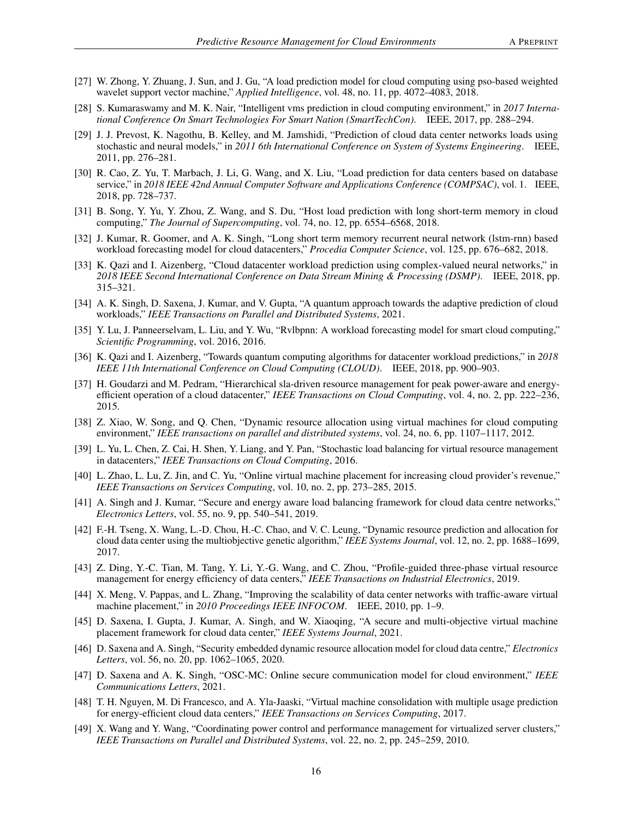- <span id="page-15-0"></span>[27] W. Zhong, Y. Zhuang, J. Sun, and J. Gu, "A load prediction model for cloud computing using pso-based weighted wavelet support vector machine," *Applied Intelligence*, vol. 48, no. 11, pp. 4072–4083, 2018.
- <span id="page-15-1"></span>[28] S. Kumaraswamy and M. K. Nair, "Intelligent vms prediction in cloud computing environment," in *2017 International Conference On Smart Technologies For Smart Nation (SmartTechCon)*. IEEE, 2017, pp. 288–294.
- <span id="page-15-2"></span>[29] J. J. Prevost, K. Nagothu, B. Kelley, and M. Jamshidi, "Prediction of cloud data center networks loads using stochastic and neural models," in *2011 6th International Conference on System of Systems Engineering*. IEEE, 2011, pp. 276–281.
- <span id="page-15-3"></span>[30] R. Cao, Z. Yu, T. Marbach, J. Li, G. Wang, and X. Liu, "Load prediction for data centers based on database service," in *2018 IEEE 42nd Annual Computer Software and Applications Conference (COMPSAC)*, vol. 1. IEEE, 2018, pp. 728–737.
- <span id="page-15-4"></span>[31] B. Song, Y. Yu, Y. Zhou, Z. Wang, and S. Du, "Host load prediction with long short-term memory in cloud computing," *The Journal of Supercomputing*, vol. 74, no. 12, pp. 6554–6568, 2018.
- <span id="page-15-5"></span>[32] J. Kumar, R. Goomer, and A. K. Singh, "Long short term memory recurrent neural network (lstm-rnn) based workload forecasting model for cloud datacenters," *Procedia Computer Science*, vol. 125, pp. 676–682, 2018.
- <span id="page-15-6"></span>[33] K. Qazi and I. Aizenberg, "Cloud datacenter workload prediction using complex-valued neural networks," in *2018 IEEE Second International Conference on Data Stream Mining & Processing (DSMP)*. IEEE, 2018, pp. 315–321.
- <span id="page-15-7"></span>[34] A. K. Singh, D. Saxena, J. Kumar, and V. Gupta, "A quantum approach towards the adaptive prediction of cloud workloads," *IEEE Transactions on Parallel and Distributed Systems*, 2021.
- <span id="page-15-8"></span>[35] Y. Lu, J. Panneerselvam, L. Liu, and Y. Wu, "Rvlbpnn: A workload forecasting model for smart cloud computing," *Scientific Programming*, vol. 2016, 2016.
- <span id="page-15-9"></span>[36] K. Qazi and I. Aizenberg, "Towards quantum computing algorithms for datacenter workload predictions," in *2018 IEEE 11th International Conference on Cloud Computing (CLOUD)*. IEEE, 2018, pp. 900–903.
- <span id="page-15-10"></span>[37] H. Goudarzi and M. Pedram, "Hierarchical sla-driven resource management for peak power-aware and energyefficient operation of a cloud datacenter," *IEEE Transactions on Cloud Computing*, vol. 4, no. 2, pp. 222–236, 2015.
- <span id="page-15-11"></span>[38] Z. Xiao, W. Song, and Q. Chen, "Dynamic resource allocation using virtual machines for cloud computing environment," *IEEE transactions on parallel and distributed systems*, vol. 24, no. 6, pp. 1107–1117, 2012.
- <span id="page-15-12"></span>[39] L. Yu, L. Chen, Z. Cai, H. Shen, Y. Liang, and Y. Pan, "Stochastic load balancing for virtual resource management in datacenters," *IEEE Transactions on Cloud Computing*, 2016.
- <span id="page-15-13"></span>[40] L. Zhao, L. Lu, Z. Jin, and C. Yu, "Online virtual machine placement for increasing cloud provider's revenue," *IEEE Transactions on Services Computing*, vol. 10, no. 2, pp. 273–285, 2015.
- <span id="page-15-14"></span>[41] A. Singh and J. Kumar, "Secure and energy aware load balancing framework for cloud data centre networks," *Electronics Letters*, vol. 55, no. 9, pp. 540–541, 2019.
- <span id="page-15-15"></span>[42] F.-H. Tseng, X. Wang, L.-D. Chou, H.-C. Chao, and V. C. Leung, "Dynamic resource prediction and allocation for cloud data center using the multiobjective genetic algorithm," *IEEE Systems Journal*, vol. 12, no. 2, pp. 1688–1699, 2017.
- <span id="page-15-16"></span>[43] Z. Ding, Y.-C. Tian, M. Tang, Y. Li, Y.-G. Wang, and C. Zhou, "Profile-guided three-phase virtual resource management for energy efficiency of data centers," *IEEE Transactions on Industrial Electronics*, 2019.
- <span id="page-15-17"></span>[44] X. Meng, V. Pappas, and L. Zhang, "Improving the scalability of data center networks with traffic-aware virtual machine placement," in *2010 Proceedings IEEE INFOCOM*. IEEE, 2010, pp. 1–9.
- <span id="page-15-18"></span>[45] D. Saxena, I. Gupta, J. Kumar, A. Singh, and W. Xiaoqing, "A secure and multi-objective virtual machine placement framework for cloud data center," *IEEE Systems Journal*, 2021.
- <span id="page-15-19"></span>[46] D. Saxena and A. Singh, "Security embedded dynamic resource allocation model for cloud data centre," *Electronics Letters*, vol. 56, no. 20, pp. 1062–1065, 2020.
- <span id="page-15-20"></span>[47] D. Saxena and A. K. Singh, "OSC-MC: Online secure communication model for cloud environment," *IEEE Communications Letters*, 2021.
- <span id="page-15-21"></span>[48] T. H. Nguyen, M. Di Francesco, and A. Yla-Jaaski, "Virtual machine consolidation with multiple usage prediction for energy-efficient cloud data centers," *IEEE Transactions on Services Computing*, 2017.
- <span id="page-15-22"></span>[49] X. Wang and Y. Wang, "Coordinating power control and performance management for virtualized server clusters," *IEEE Transactions on Parallel and Distributed Systems*, vol. 22, no. 2, pp. 245–259, 2010.